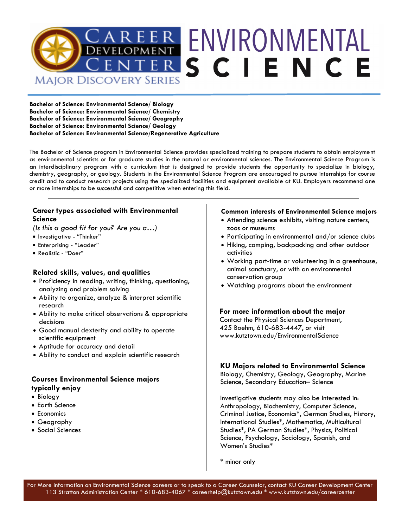

**Bachelor of Science: Environmental Science/ Biology Bachelor of Science: Environmental Science/ Chemistry Bachelor of Science: Environmental Science/ Geography Bachelor of Science: Environmental Science/ Geology Bachelor of Science: Environmental Science/Regenerative Agriculture**

The Bachelor of Science program in Environmental Science provides specialized training to prepare students to obtain employment as environmental scientists or for graduate studies in the natural or environmental sciences. The Environmental Science Program is an interdisciplinary program with a curriculum that is designed to provide students the opportunity to specialize in biology, chemistry, geography, or geology. Students in the Environmental Science Program are encouraged to pursue internships for course credit and to conduct research projects using the specialized facilities and equipment available at KU. Employers recommend one or more internships to be successful and competitive when entering this field.

## **Career types associated with Environmental Science**

*(Is this a good fit for you? Are you a…)*

- Investigative "Thinker"
- Enterprising "Leader"
- Realistic "Doer"

## **Related skills, values, and qualities**

- Proficiency in reading, writing, thinking, questioning, analyzing and problem solving
- Ability to organize, analyze & interpret scientific research
- Ability to make critical observations & appropriate decisions
- Good manual dexterity and ability to operate scientific equipment
- Aptitude for accuracy and detail
- Ability to conduct and explain scientific research

## **Courses Environmental Science majors typically enjoy**

- Biology
- Earth Science
- Economics
- Geography
- Social Sciences

## **Common interests of Environmental Science majors**

- Attending science exhibits, visiting nature centers, zoos or museums
- Participating in environmental and/or science clubs
- Hiking, camping, backpacking and other outdoor activities
- Working part-time or volunteering in a greenhouse, animal sanctuary, or with an environmental conservation group
- Watching programs about the environment

## **For more information about the major**

Contact the Physical Sciences Department, 425 Boehm, 610-683-4447, or visit www.kutztown.edu/EnvironmentalScience

## **KU Majors related to Environmental Science**

Biology, Chemistry, Geology, Geography, Marine Science, Secondary Education– Science

Investigative students may also be interested in: Anthropology, Biochemistry, Computer Science, Criminal Justice, Economics\*, German Studies, History, International Studies\*, Mathematics, Multicultural Studies\*, PA German Studies\*, Physics, Political Science, Psychology, Sociology, Spanish, and Women's Studies\*

\* minor only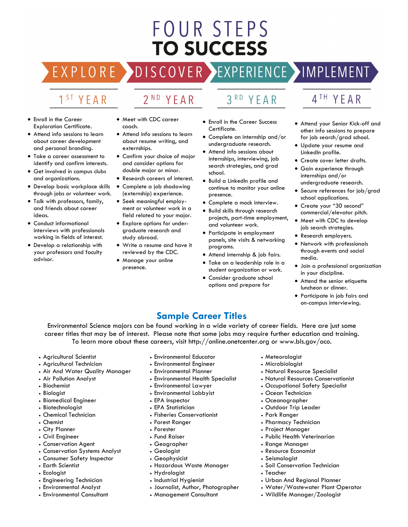# **FOUR STEPS TO SUCCESS**

EXPLORE >DISCOVER >EXPERIENCE >IMPLEMENT

## 1<sup>ST</sup> YEAR

- 2<sup>ND</sup> YEAR
- Enroll in the Career Exploration Certificate.
- Attend info sessions to learn about career development and personal branding.
- Take a career assessment to identify and confirm interests.
- Get involved in campus clubs and organizations.
- Develop basic workplace skills through jobs or volunteer work.
- Talk with professors, family, and friends about career ideas.
- Conduct informational interviews with professionals working in fields of interest.
- Develop a relationship with your professors and faculty advisor.
- Meet with CDC career coach.
- Attend info sessions to learn about resume writing, and externships.
- Confirm your choice of major and consider options for double major or minor.
- Research careers of interest.
- Complete a job shadowing (externship) experience.
- Seek meaningful employment or volunteer work in a field related to your major.
- Explore options for undergraduate research and study abroad.
- Write a resume and have it reviewed by the CDC.
- Manage your online presence.
- $3<sup>RD</sup>$ YFAR
- Enroll in the Career Success Certificate.
- Complete an internship and/or undergraduate research.
- Attend info sessions about internships, interviewing, job search strategies, and grad school.
- Build a LinkedIn profile and continue to monitor your online presence.
- Complete a mock interview.
- Build skills through research projects, part-time employment, and volunteer work.
- Participate in employment panels, site visits & networking programs.
- Attend internship & job fairs.
- Take on a leadership role in a student organization or work.
- Consider graduate school options and prepare for

## 4TH YEAR

- Attend your Senior Kick-off and other info sessions to prepare for job search/grad school.
- Update your resume and LinkedIn profile.
- Create cover letter drafts.
- Gain experience through internships and/or undergraduate research.
- Secure references for job/grad school applications.
- Create your "30 second" commercial/elevator pitch.
- Meet with CDC to develop job search strategies.
- Research employers.
- Network with professionals through events and social media.
- Join a professional organization in your discipline.
- Attend the senior etiquette luncheon or dinner.
- Participate in job fairs and on-campus interviewing.

## **Sample Career Titles**

Environmental Science majors can be found working in a wide variety of career fields. Here are just some career titles that may be of interest. Please note that some jobs may require further education and training. To learn more about these careers, visit http://online.onetcenter.org or www.bls.gov/oco.

- Agricultural Scientist
- Agricultural Technician
- Air And Water Quality Manager
- Air Pollution Analyst
- Biochemist
- Biologist
- Biomedical Engineer
- Biotechnologist
- Chemical Technician
- Chemist
- City Planner
- Civil Engineer
- Conservation Agent
- Conservation Systems Analyst
- Consumer Safety Inspector
- Earth Scientist
- Ecologist
- Engineering Technician
- Environmental Analyst
- Environmental Consultant
- Environmental Educator
- Environmental Engineer
- Environmental Planner
- Environmental Health Specialist
- Environmental Lawyer
- Environmental Lobbyist
- EPA Inspector
- EPA Statistician
- Fisheries Conservationist
- Forest Ranger
- Forester
- Fund Raiser
- Geographer
- Geologist
- Geophysicist
- Hazardous Waste Manager
- Hydrologist
- Industrial Hygienist
- Journalist, Author, Photographer
- Management Consultant
- Meteorologist
- Microbiologist
- Natural Resource Specialist
- Natural Resources Conservationist
- Occupational Safety Specialist
- Ocean Technician
- Oceanographer
- Outdoor Trip Leader
- Park Ranger
- Pharmacy Technician
- Project Manager

• Seismologist

• Teacher

• Public Health Veterinarian

• Soil Conservation Technician

• Urban And Regional Planner • Water/Wastewater Plant Operator • Wildlife Manager/Zoologist

• Range Manager • Resource Economist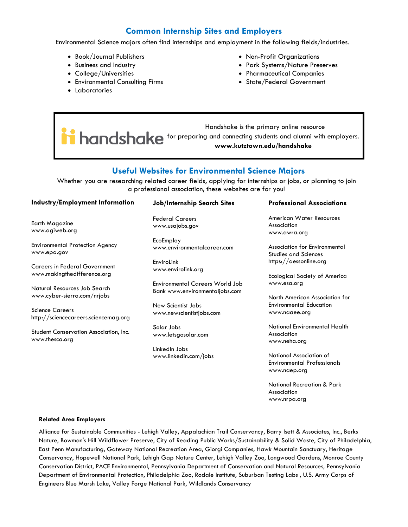## **Common Internship Sites and Employers**

Environmental Science majors often find internships and employment in the following fields/industries.

- Book/Journal Publishers
- Business and Industry
- College/Universities
- Environmental Consulting Firms
- Laboratories
- Non-Profit Organizations
- Park Systems/Nature Preserves
- Pharmaceutical Companies
- State/Federal Government

 Handshake is the primary online resource **i** handshake for preparing and connecting students and alumni with employers. **www.kutztown.edu/handshake**

## **Useful Websites for Environmental Science Majors**

Whether you are researching related career fields, applying for internships or jobs, or planning to join a professional association, these websites are for you!

### **Industry/Employment Information**

Earth Magazine www.agiweb.org

Environmental Protection Agency www.epa.gov

Careers in Federal Government www.makingthedifference.org

Natural Resources Job Search www.cyber-sierra.com/nrjobs

Science Careers http://sciencecareers.sciencemag.org

Student Conservation Association, Inc. www.thesca.org

#### **Job/Internship Search Sites**

Federal Careers www.usajobs.gov

EcoEmploy www.environmentalcareer.com

EnviroLink www.envirolink.org

Environmental Careers World Job Bank www.environmentaljobs.com

New Scientist Jobs www.newscientistjobs.com

Solar Jobs www.letsgosolar.com

LinkedIn Jobs www.linkedin.com/jobs

### **Professional Associations**

American Water Resources Association www.awra.org

Association for Environmental Studies and Sciences https://aessonline.org

Ecological Society of America www.esa.org

North American Association for Environmental Education www.naaee.org

National Environmental Health Association www.neha.org

National Association of Environmental Professionals www.naep.org

National Recreation & Park Association www.nrpa.org

#### **Related Area Employers**

Alliance for Sustainable Communities - Lehigh Valley, Appalachian Trail Conservancy, Barry Isett & Associates, Inc., Berks Nature, Bowman's Hill Wildflower Preserve, City of Reading Public Works/Sustainability & Solid Waste, City of Philadelphia, East Penn Manufacturing, Gateway National Recreation Area, Giorgi Companies, Hawk Mountain Sanctuary, Heritage Conservancy, Hopewell National Park, Lehigh Gap Nature Center, Lehigh Valley Zoo, Longwood Gardens, Monroe County Conservation District, PACE Environmental, Pennsylvania Department of Conservation and Natural Resources, Pennsylvania Department of Environmental Protection, Philadelphia Zoo, Rodale Institute, Suburban Testing Labs , U.S. Army Corps of Engineers Blue Marsh Lake, Valley Forge National Park, Wildlands Conservancy